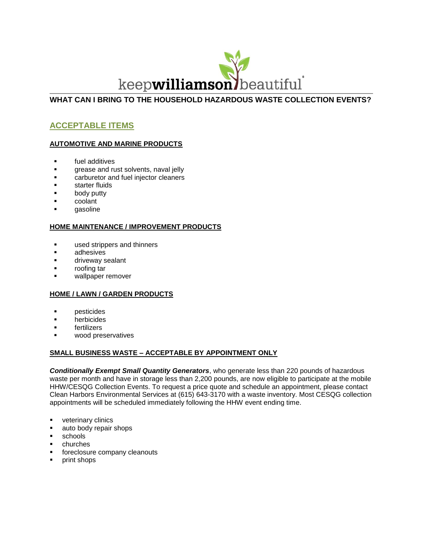

## **WHAT CAN I BRING TO THE HOUSEHOLD HAZARDOUS WASTE COLLECTION EVENTS?**

# **ACCEPTABLE ITEMS**

## **AUTOMOTIVE AND MARINE PRODUCTS**

- **Fig.** fuel additives
- **grease and rust solvents, naval jelly**
- **Example:** Carburetor and fuel injector cleaners
- starter fluids
- body putty
- coolant
- gasoline

### **HOME MAINTENANCE / IMPROVEMENT PRODUCTS**

- **used strippers and thinners**
- adhesives
- driveway sealant
- roofing tar
- wallpaper remover

### **HOME / LAWN / GARDEN PRODUCTS**

- **pesticides**
- herbicides
- fertilizers
- wood preservatives

### **SMALL BUSINESS WASTE – ACCEPTABLE BY APPOINTMENT ONLY**

*Conditionally Exempt Small Quantity Generators*, who generate less than 220 pounds of hazardous waste per month and have in storage less than 2,200 pounds, are now eligible to participate at the mobile HHW/CESQG Collection Events. To request a price quote and schedule an appointment, please contact Clean Harbors Environmental Services at (615) 643-3170 with a waste inventory. Most CESQG collection appointments will be scheduled immediately following the HHW event ending time.

- veterinary clinics
- ullet auto body repair shops
- **schools**
- churches
- foreclosure company cleanouts
- **print shops**